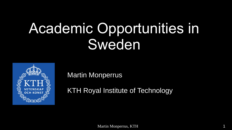# Academic Opportunities in Sweden



Martin Monperrus

KTH Royal Institute of Technology

Martin Monperrus, KTH 1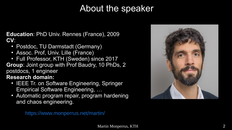## About the speaker

**Education**: PhD Univ. Rennes (France), 2009 **CV**:

- Postdoc, TU Darmstadt (Germany)
- Assoc. Prof, Univ. Lille (France)
- Full Professor, KTH (Sweden) since 2017
- **Group**: Joint group with Prof Baudry, 10 PhDs, 2 postdocs, 1 engineer

**Research domain:**

- IEEE Tr. on Software Engineering, Springer Empirical Software Engineering, …
- Automatic program repair, program hardening and chaos engineering.



<https://www.monperrus.net/martin/>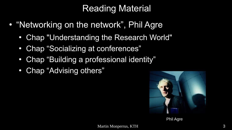## Reading Material

- "Networking on the network", Phil Agre
	- Chap "Understanding the Research World"
	- Chap "Socializing at conferences"
	- Chap "Building a professional identity"
	- Chap "Advising others"



Phil Agre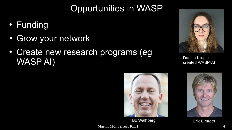## Opportunities in WASP

- Funding
- Grow your network
- Create new research programs (eg WASP AI) Danica Kragic<br>Created WASP



created WASP-AI



Bo Walhberg **Erik Elmroth** 

Martin Monperrus, KTH 4

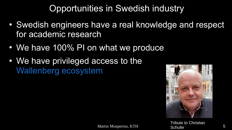## Opportunities in Swedish industry

- Swedish engineers have a real knowledge and respect for academic research
- We have 100% PI on what we produce
- We have privileged access to the [Wallenberg ecosystem](https://www.wallenberg.com/en/ecosystem)



Tribute to Christian **Schulte**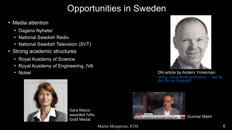## Opportunities in Sweden

- Media attention
	- Dagens Nyheter
	- National Swedish Radio
	- National Swedish Television (SVT)
- Strong academic structures
	- Royal Academy of Science
	- Royal Academy of Engineering, IVA
	-



Sara Mazur awarded IVAs



• Nobel **DN** article by Anders Ynnerman: [Virrig, excentrisk professor – vad är](https://www.dn.se/debatt/virrig-excentrisk-professor-vad-ar-det-for-en-forebild/) [det för en förebild?](https://www.dn.se/debatt/virrig-excentrisk-professor-vad-ar-det-for-en-forebild/)



Martin Monperrus, KTH 6